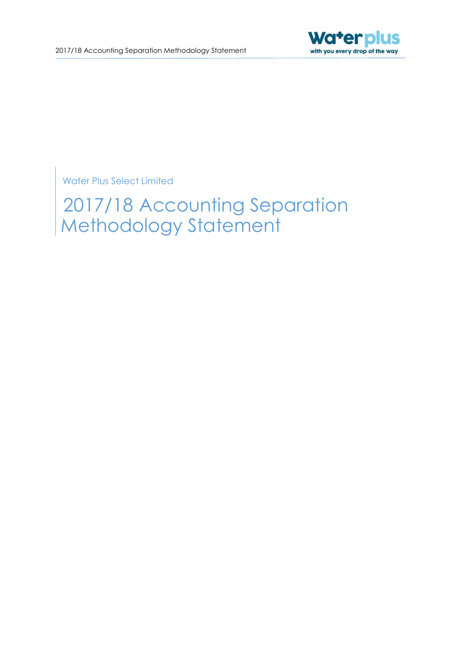

Water Plus Select Limited

2017/18 Accounting Separation Methodology Statement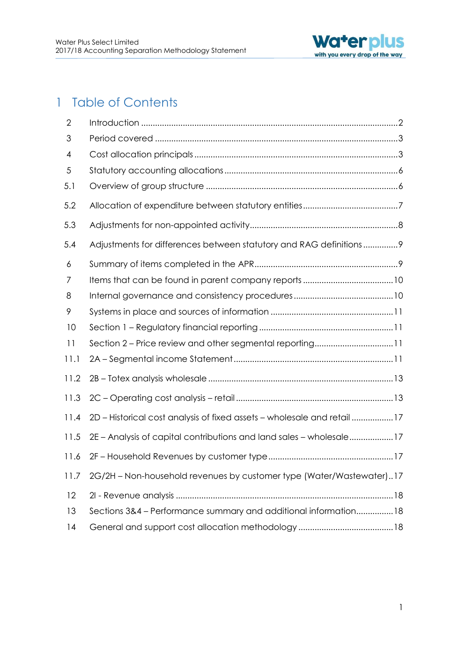

## 1 Table of Contents

| $\overline{2}$ |                                                                         |
|----------------|-------------------------------------------------------------------------|
| 3              |                                                                         |
| 4              |                                                                         |
| 5              |                                                                         |
| 5.1            |                                                                         |
| 5.2            |                                                                         |
| 5.3            |                                                                         |
| 5.4            | Adjustments for differences between statutory and RAG definitions9      |
| 6              |                                                                         |
| 7              |                                                                         |
| 8              |                                                                         |
| 9              |                                                                         |
| 10             |                                                                         |
| 11             | Section 2 – Price review and other segmental reporting11                |
| 11.1           |                                                                         |
| 11.2           |                                                                         |
| 11.3           |                                                                         |
| 11.4           | 2D - Historical cost analysis of fixed assets - wholesale and retail 17 |
| 11.5           | 2E - Analysis of capital contributions and land sales - wholesale17     |
| 11.6           |                                                                         |
| 11.7           | 2G/2H - Non-household revenues by customer type (Water/Wastewater)17    |
| 12             |                                                                         |
| 13             | Sections 3&4 - Performance summary and additional information18         |
| 14             |                                                                         |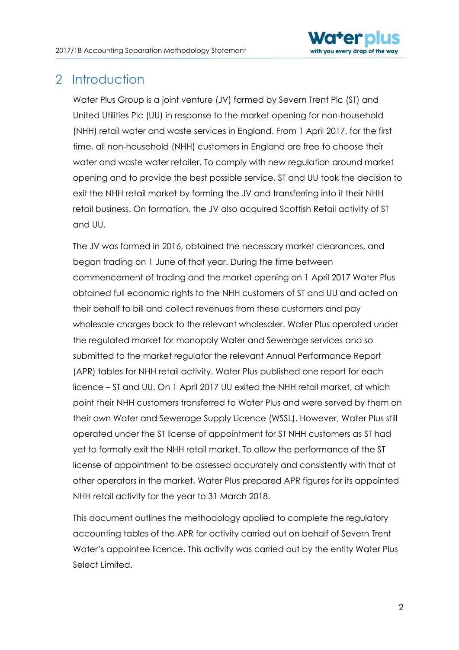

## <span id="page-2-0"></span>2 Introduction

Water Plus Group is a joint venture (JV) formed by Severn Trent Plc (ST) and United Utilities Plc (UU) in response to the market opening for non-household (NHH) retail water and waste services in England. From 1 April 2017, for the first time, all non-household (NHH) customers in England are free to choose their water and waste water retailer. To comply with new regulation around market opening and to provide the best possible service, ST and UU took the decision to exit the NHH retail market by forming the JV and transferring into it their NHH retail business. On formation, the JV also acquired Scottish Retail activity of ST and UU.

The JV was formed in 2016, obtained the necessary market clearances, and began trading on 1 June of that year. During the time between commencement of trading and the market opening on 1 April 2017 Water Plus obtained full economic rights to the NHH customers of ST and UU and acted on their behalf to bill and collect revenues from these customers and pay wholesale charges back to the relevant wholesaler. Water Plus operated under the regulated market for monopoly Water and Sewerage services and so submitted to the market regulator the relevant Annual Performance Report (APR) tables for NHH retail activity. Water Plus published one report for each licence – ST and UU. On 1 April 2017 UU exited the NHH retail market, at which point their NHH customers transferred to Water Plus and were served by them on their own Water and Sewerage Supply Licence (WSSL). However, Water Plus still operated under the ST license of appointment for ST NHH customers as ST had yet to formally exit the NHH retail market. To allow the performance of the ST license of appointment to be assessed accurately and consistently with that of other operators in the market, Water Plus prepared APR figures for its appointed NHH retail activity for the year to 31 March 2018.

This document outlines the methodology applied to complete the regulatory accounting tables of the APR for activity carried out on behalf of Severn Trent Water's appointee licence. This activity was carried out by the entity Water Plus Select Limited.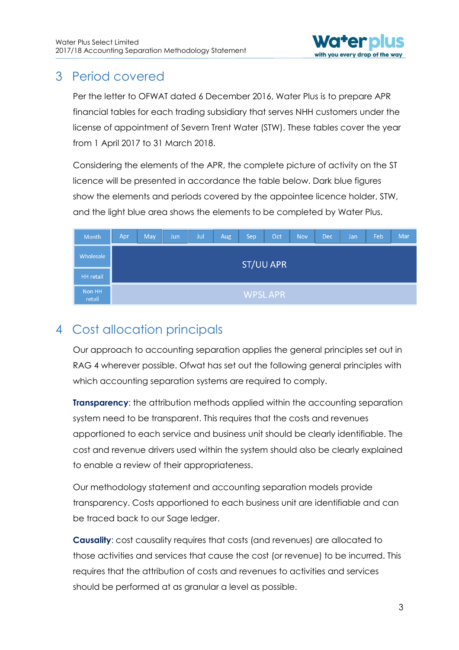

## <span id="page-3-0"></span>3 Period covered

Per the letter to OFWAT dated 6 December 2016, Water Plus is to prepare APR financial tables for each trading subsidiary that serves NHH customers under the license of appointment of Severn Trent Water (STW). These tables cover the year from 1 April 2017 to 31 March 2018.

Considering the elements of the APR, the complete picture of activity on the ST licence will be presented in accordance the table below. Dark blue figures show the elements and periods covered by the appointee licence holder, STW, and the light blue area shows the elements to be completed by Water Plus.

| Month            | Apr              | May | Jun | Jul | Aug. | Sep | Oct            | Nov | Dec | Jan | Feb | Mar |
|------------------|------------------|-----|-----|-----|------|-----|----------------|-----|-----|-----|-----|-----|
| Wholesale        | <b>ST/UU APR</b> |     |     |     |      |     |                |     |     |     |     |     |
| <b>HH</b> retail |                  |     |     |     |      |     |                |     |     |     |     |     |
| Non HH<br>retail |                  |     |     |     |      |     | <b>WPSLAPR</b> |     |     |     |     |     |

## <span id="page-3-1"></span>4 Cost allocation principals

Our approach to accounting separation applies the general principles set out in RAG 4 wherever possible. Ofwat has set out the following general principles with which accounting separation systems are required to comply.

**Transparency:** the attribution methods applied within the accounting separation system need to be transparent. This requires that the costs and revenues apportioned to each service and business unit should be clearly identifiable. The cost and revenue drivers used within the system should also be clearly explained to enable a review of their appropriateness.

Our methodology statement and accounting separation models provide transparency. Costs apportioned to each business unit are identifiable and can be traced back to our Sage ledger.

**Causality**: cost causality requires that costs (and revenues) are allocated to those activities and services that cause the cost (or revenue) to be incurred. This requires that the attribution of costs and revenues to activities and services should be performed at as granular a level as possible.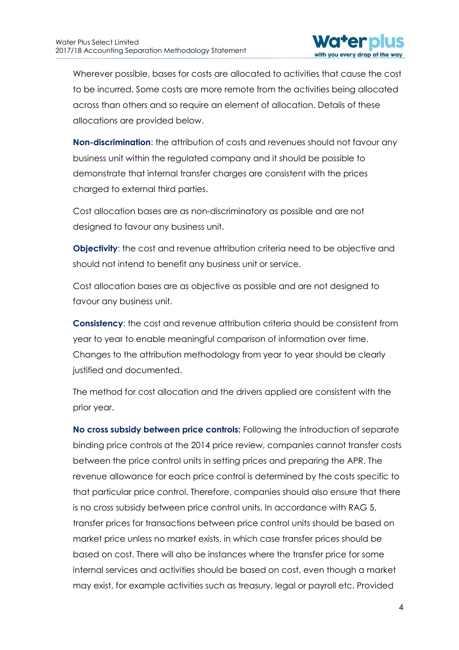

Wherever possible, bases for costs are allocated to activities that cause the cost to be incurred. Some costs are more remote from the activities being allocated across than others and so require an element of allocation. Details of these allocations are provided below.

**Non-discrimination**: the attribution of costs and revenues should not favour any business unit within the regulated company and it should be possible to demonstrate that internal transfer charges are consistent with the prices charged to external third parties.

Cost allocation bases are as non-discriminatory as possible and are not designed to favour any business unit.

**Objectivity:** the cost and revenue attribution criteria need to be objective and should not intend to benefit any business unit or service.

Cost allocation bases are as objective as possible and are not designed to favour any business unit.

**Consistency**: the cost and revenue attribution criteria should be consistent from year to year to enable meaningful comparison of information over time. Changes to the attribution methodology from year to year should be clearly justified and documented.

The method for cost allocation and the drivers applied are consistent with the prior year.

**No cross subsidy between price controls:** Following the introduction of separate binding price controls at the 2014 price review, companies cannot transfer costs between the price control units in setting prices and preparing the APR. The revenue allowance for each price control is determined by the costs specific to that particular price control. Therefore, companies should also ensure that there is no cross subsidy between price control units. In accordance with RAG 5, transfer prices for transactions between price control units should be based on market price unless no market exists, in which case transfer prices should be based on cost. There will also be instances where the transfer price for some internal services and activities should be based on cost, even though a market may exist, for example activities such as treasury, legal or payroll etc. Provided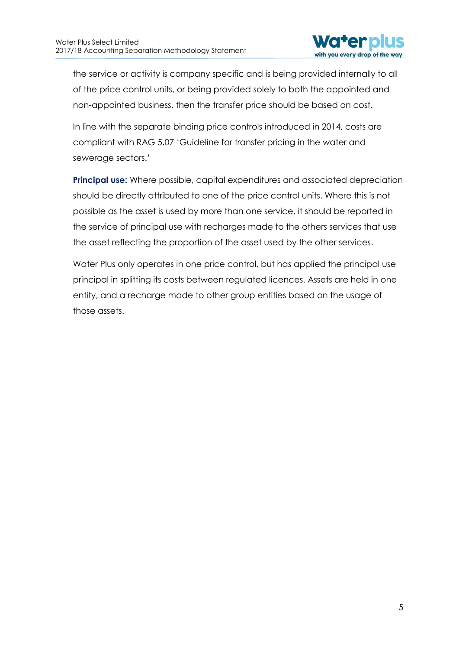

the service or activity is company specific and is being provided internally to all of the price control units, or being provided solely to both the appointed and non-appointed business, then the transfer price should be based on cost.

In line with the separate binding price controls introduced in 2014, costs are compliant with RAG 5.07 'Guideline for transfer pricing in the water and sewerage sectors.'

**Principal use:** Where possible, capital expenditures and associated depreciation should be directly attributed to one of the price control units. Where this is not possible as the asset is used by more than one service, it should be reported in the service of principal use with recharges made to the others services that use the asset reflecting the proportion of the asset used by the other services.

Water Plus only operates in one price control, but has applied the principal use principal in splitting its costs between regulated licences. Assets are held in one entity, and a recharge made to other group entities based on the usage of those assets.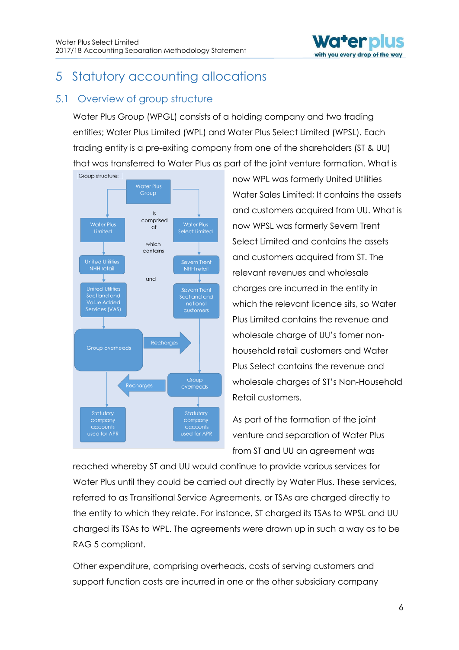

## <span id="page-6-0"></span>5 Statutory accounting allocations

### <span id="page-6-1"></span>5.1 Overview of group structure

Water Plus Group (WPGL) consists of a holding company and two trading entities; Water Plus Limited (WPL) and Water Plus Select Limited (WPSL). Each trading entity is a pre-exiting company from one of the shareholders (ST & UU) that was transferred to Water Plus as part of the joint venture formation. What is



now WPL was formerly United Utilities Water Sales Limited; It contains the assets and customers acquired from UU. What is now WPSL was formerly Severn Trent Select Limited and contains the assets and customers acquired from ST. The relevant revenues and wholesale charges are incurred in the entity in which the relevant licence sits, so Water Plus Limited contains the revenue and wholesale charge of UU's fomer nonhousehold retail customers and Water Plus Select contains the revenue and wholesale charges of ST's Non-Household Retail customers.

As part of the formation of the joint venture and separation of Water Plus from ST and UU an agreement was

reached whereby ST and UU would continue to provide various services for Water Plus until they could be carried out directly by Water Plus. These services, referred to as Transitional Service Agreements, or TSAs are charged directly to the entity to which they relate. For instance, ST charged its TSAs to WPSL and UU charged its TSAs to WPL. The agreements were drawn up in such a way as to be RAG 5 compliant.

Other expenditure, comprising overheads, costs of serving customers and support function costs are incurred in one or the other subsidiary company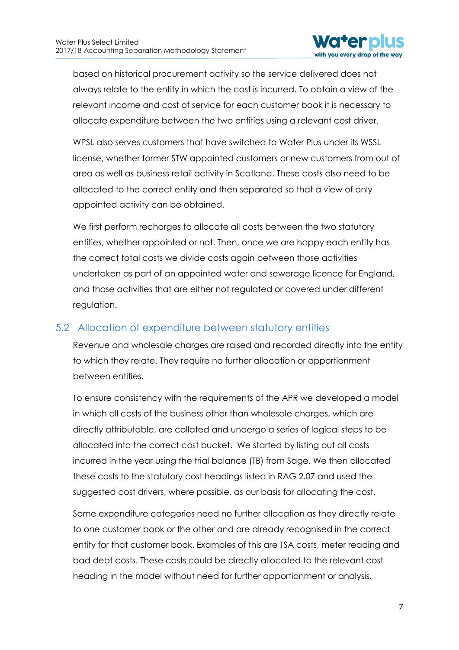

based on historical procurement activity so the service delivered does not always relate to the entity in which the cost is incurred. To obtain a view of the relevant income and cost of service for each customer book it is necessary to allocate expenditure between the two entities using a relevant cost driver.

WPSL also serves customers that have switched to Water Plus under its WSSL license, whether former STW appointed customers or new customers from out of area as well as business retail activity in Scotland. These costs also need to be allocated to the correct entity and then separated so that a view of only appointed activity can be obtained.

We first perform recharges to allocate all costs between the two statutory entities, whether appointed or not. Then, once we are happy each entity has the correct total costs we divide costs again between those activities undertaken as part of an appointed water and sewerage licence for England, and those activities that are either not regulated or covered under different regulation.

### <span id="page-7-0"></span>5.2 Allocation of expenditure between statutory entities

Revenue and wholesale charges are raised and recorded directly into the entity to which they relate. They require no further allocation or apportionment between entities.

To ensure consistency with the requirements of the APR we developed a model in which all costs of the business other than wholesale charges, which are directly attributable, are collated and undergo a series of logical steps to be allocated into the correct cost bucket. We started by listing out all costs incurred in the year using the trial balance (TB) from Sage. We then allocated these costs to the statutory cost headings listed in RAG 2.07 and used the suggested cost drivers, where possible, as our basis for allocating the cost.

Some expenditure categories need no further allocation as they directly relate to one customer book or the other and are already recognised in the correct entity for that customer book. Examples of this are TSA costs, meter reading and bad debt costs. These costs could be directly allocated to the relevant cost heading in the model without need for further apportionment or analysis.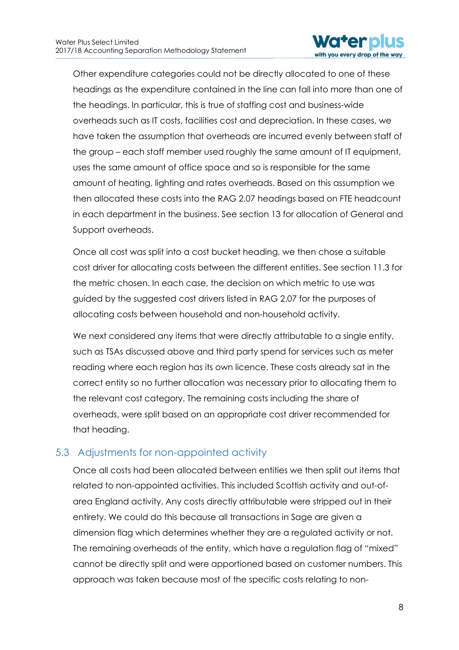

Other expenditure categories could not be directly allocated to one of these headings as the expenditure contained in the line can fall into more than one of the headings. In particular, this is true of staffing cost and business-wide overheads such as IT costs, facilities cost and depreciation. In these cases, we have taken the assumption that overheads are incurred evenly between staff of the group – each staff member used roughly the same amount of IT equipment, uses the same amount of office space and so is responsible for the same amount of heating, lighting and rates overheads. Based on this assumption we then allocated these costs into the RAG 2.07 headings based on FTE headcount in each department in the business. See section 13 for allocation of General and Support overheads.

Once all cost was split into a cost bucket heading, we then chose a suitable cost driver for allocating costs between the different entities. See section 11.3 for the metric chosen. In each case, the decision on which metric to use was guided by the suggested cost drivers listed in RAG 2.07 for the purposes of allocating costs between household and non-household activity.

We next considered any items that were directly attributable to a single entity, such as TSAs discussed above and third party spend for services such as meter reading where each region has its own licence. These costs already sat in the correct entity so no further allocation was necessary prior to allocating them to the relevant cost category. The remaining costs including the share of overheads, were split based on an appropriate cost driver recommended for that heading.

### <span id="page-8-0"></span>5.3 Adjustments for non-appointed activity

Once all costs had been allocated between entities we then split out items that related to non-appointed activities. This included Scottish activity and out-ofarea England activity. Any costs directly attributable were stripped out in their entirety. We could do this because all transactions in Sage are given a dimension flag which determines whether they are a regulated activity or not. The remaining overheads of the entity, which have a regulation flag of "mixed" cannot be directly split and were apportioned based on customer numbers. This approach was taken because most of the specific costs relating to non-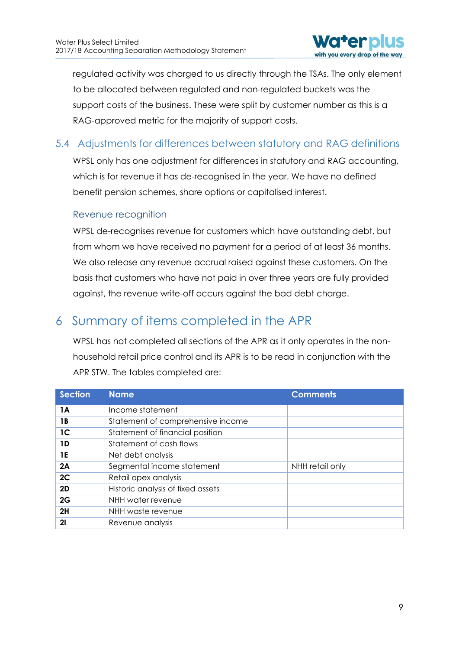

regulated activity was charged to us directly through the TSAs. The only element to be allocated between regulated and non-regulated buckets was the support costs of the business. These were split by customer number as this is a RAG-approved metric for the majority of support costs.

### <span id="page-9-0"></span>5.4 Adjustments for differences between statutory and RAG definitions

WPSL only has one adjustment for differences in statutory and RAG accounting, which is for revenue it has de-recognised in the year. We have no defined benefit pension schemes, share options or capitalised interest.

#### Revenue recognition

WPSL de-recognises revenue for customers which have outstanding debt, but from whom we have received no payment for a period of at least 36 months. We also release any revenue accrual raised against these customers. On the basis that customers who have not paid in over three years are fully provided against, the revenue write-off occurs against the bad debt charge.

## <span id="page-9-1"></span>6 Summary of items completed in the APR

WPSL has not completed all sections of the APR as it only operates in the nonhousehold retail price control and its APR is to be read in conjunction with the APR STW. The tables completed are:

| <b>Section</b> | <b>Name</b>                       | <b>Comments</b> |
|----------------|-----------------------------------|-----------------|
| 1A             | Income statement                  |                 |
| 1 B            | Statement of comprehensive income |                 |
| 1 <sup>C</sup> | Statement of financial position   |                 |
| 1D             | Statement of cash flows           |                 |
| 1E             | Net debt analysis                 |                 |
| 2A             | Segmental income statement        | NHH retail only |
| 2C             | Retail opex analysis              |                 |
| 2D             | Historic analysis of fixed assets |                 |
| 2G             | NHH water revenue                 |                 |
| 2H             | NHH waste revenue                 |                 |
| $\mathbf{2}$ l | Revenue analysis                  |                 |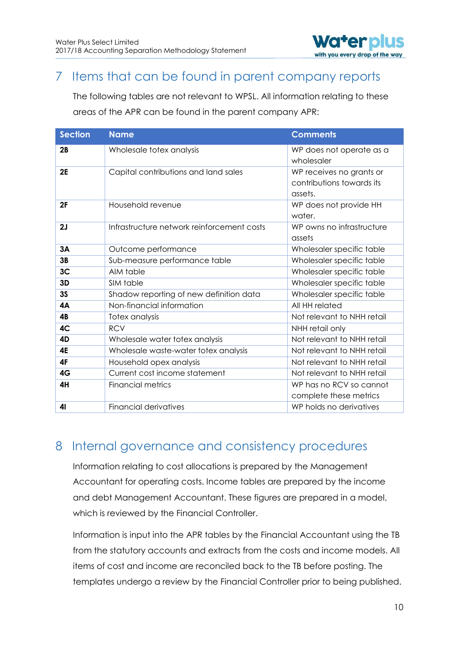

## <span id="page-10-0"></span>7 Items that can be found in parent company reports

The following tables are not relevant to WPSL. All information relating to these areas of the APR can be found in the parent company APR:

| <b>Section</b> | <b>Name</b>                                | <b>Comments</b>                                                  |
|----------------|--------------------------------------------|------------------------------------------------------------------|
| 2B             | Wholesale totex analysis                   | WP does not operate as a<br>wholesaler                           |
| <b>2E</b>      | Capital contributions and land sales       | WP receives no grants or<br>contributions towards its<br>assets. |
| 2F             | Household revenue                          | WP does not provide HH<br>water.                                 |
| 2J             | Infrastructure network reinforcement costs | WP owns no infrastructure<br>assets                              |
| 3A             | Outcome performance                        | Wholesaler specific table                                        |
| 3B             | Sub-measure performance table              | Wholesaler specific table                                        |
| 3 <sub>C</sub> | AIM table                                  | Wholesaler specific table                                        |
| 3D             | SIM table                                  | Wholesaler specific table                                        |
| <b>3S</b>      | Shadow reporting of new definition data    | Wholesaler specific table                                        |
| 4A             | Non-financial information                  | All HH related                                                   |
| 4B             | Totex analysis                             | Not relevant to NHH retail                                       |
| 4C             | <b>RCV</b>                                 | NHH retail only                                                  |
| 4D             | Wholesale water totex analysis             | Not relevant to NHH retail                                       |
| 4E             | Wholesale waste-water totex analysis       | Not relevant to NHH retail                                       |
| 4F             | Household opex analysis                    | Not relevant to NHH retail                                       |
| 4G             | Current cost income statement              | Not relevant to NHH retail                                       |
| 4H             | <b>Financial metrics</b>                   | WP has no RCV so cannot<br>complete these metrics                |
| 41             | <b>Financial derivatives</b>               | WP holds no derivatives                                          |

## <span id="page-10-1"></span>8 Internal governance and consistency procedures

Information relating to cost allocations is prepared by the Management Accountant for operating costs. Income tables are prepared by the income and debt Management Accountant. These figures are prepared in a model, which is reviewed by the Financial Controller.

Information is input into the APR tables by the Financial Accountant using the TB from the statutory accounts and extracts from the costs and income models. All items of cost and income are reconciled back to the TB before posting. The templates undergo a review by the Financial Controller prior to being published.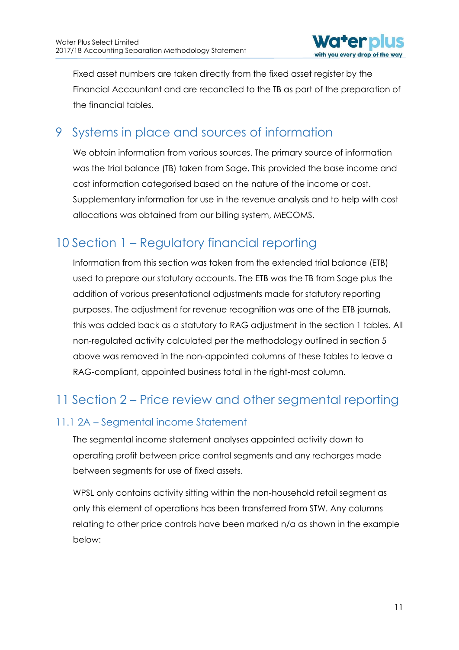

Fixed asset numbers are taken directly from the fixed asset register by the Financial Accountant and are reconciled to the TB as part of the preparation of the financial tables.

## <span id="page-11-0"></span>9 Systems in place and sources of information

We obtain information from various sources. The primary source of information was the trial balance (TB) taken from Sage. This provided the base income and cost information categorised based on the nature of the income or cost. Supplementary information for use in the revenue analysis and to help with cost allocations was obtained from our billing system, MECOMS.

## <span id="page-11-1"></span>10 Section 1 – Regulatory financial reporting

Information from this section was taken from the extended trial balance (ETB) used to prepare our statutory accounts. The ETB was the TB from Sage plus the addition of various presentational adjustments made for statutory reporting purposes. The adjustment for revenue recognition was one of the ETB journals, this was added back as a statutory to RAG adjustment in the section 1 tables. All non-regulated activity calculated per the methodology outlined in section 5 above was removed in the non-appointed columns of these tables to leave a RAG-compliant, appointed business total in the right-most column.

## <span id="page-11-2"></span>11 Section 2 – Price review and other segmental reporting

## <span id="page-11-3"></span>11.1 2A – Segmental income Statement

The segmental income statement analyses appointed activity down to operating profit between price control segments and any recharges made between segments for use of fixed assets.

WPSL only contains activity sitting within the non-household retail segment as only this element of operations has been transferred from STW. Any columns relating to other price controls have been marked n/a as shown in the example below: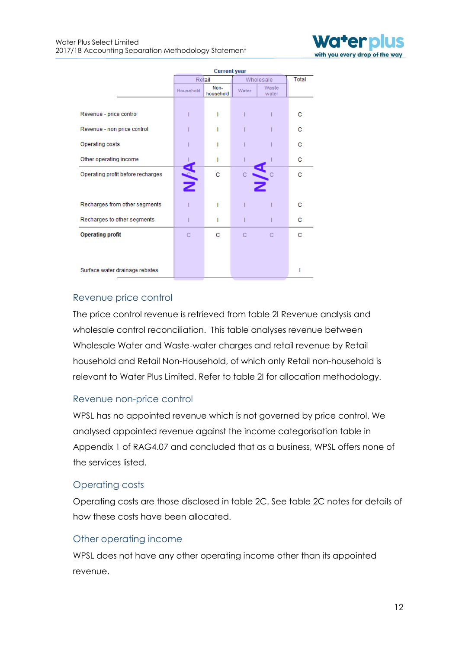

|                                   | <b>Current year</b> |                   |           |                |   |  |
|-----------------------------------|---------------------|-------------------|-----------|----------------|---|--|
|                                   | Retail              |                   | Wholesale | Total          |   |  |
|                                   | Household           | Non-<br>household | Water     | Waste<br>water |   |  |
|                                   |                     |                   |           |                |   |  |
| Revenue - price control           |                     | ı                 |           |                | с |  |
| Revenue - non price control       |                     |                   |           |                | с |  |
| Operating costs                   |                     |                   |           |                | с |  |
| Other operating income            |                     | ı                 |           |                | с |  |
| Operating profit before recharges | Ž                   | c                 | Ċ         |                | c |  |
|                                   |                     |                   |           |                |   |  |
| Recharges from other segments     |                     |                   |           |                | с |  |
| Recharges to other segments       |                     | ı                 |           |                | с |  |
| <b>Operating profit</b>           | C                   | c                 | Ċ         |                | с |  |
|                                   |                     |                   |           |                |   |  |
| Surface water drainage rebates    |                     |                   |           |                | ı |  |
|                                   |                     |                   |           |                |   |  |

#### Revenue price control

The price control revenue is retrieved from table 2I Revenue analysis and wholesale control reconciliation. This table analyses revenue between Wholesale Water and Waste-water charges and retail revenue by Retail household and Retail Non-Household, of which only Retail non-household is relevant to Water Plus Limited. Refer to table 2I for allocation methodology.

#### Revenue non-price control

WPSL has no appointed revenue which is not governed by price control. We analysed appointed revenue against the income categorisation table in Appendix 1 of RAG4.07 and concluded that as a business, WPSL offers none of the services listed.

#### Operating costs

Operating costs are those disclosed in table 2C. See table 2C notes for details of how these costs have been allocated.

#### Other operating income

WPSL does not have any other operating income other than its appointed revenue.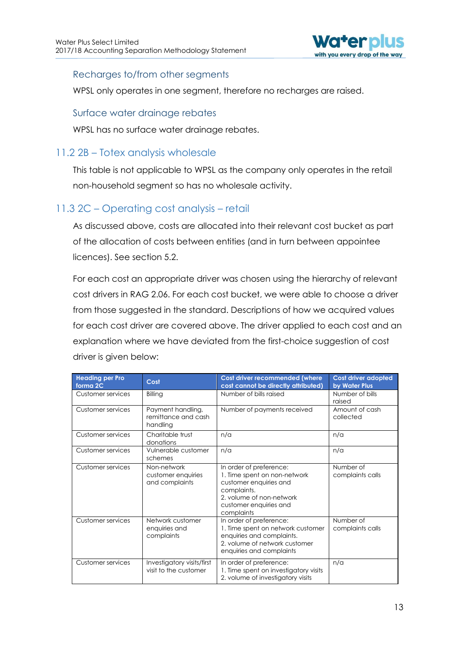

#### Recharges to/from other segments

WPSL only operates in one segment, therefore no recharges are raised.

#### Surface water drainage rebates

WPSL has no surface water drainage rebates.

### <span id="page-13-0"></span>11.2 2B – Totex analysis wholesale

This table is not applicable to WPSL as the company only operates in the retail non-household segment so has no wholesale activity.

### <span id="page-13-1"></span>11.3 2C – Operating cost analysis – retail

As discussed above, costs are allocated into their relevant cost bucket as part of the allocation of costs between entities (and in turn between appointee licences). See section 5.2.

For each cost an appropriate driver was chosen using the hierarchy of relevant cost drivers in RAG 2.06. For each cost bucket, we were able to choose a driver from those suggested in the standard. Descriptions of how we acquired values for each cost driver are covered above. The driver applied to each cost and an explanation where we have deviated from the first-choice suggestion of cost driver is given below:

| <b>Heading per Pro</b><br>forma <sub>2C</sub> | Cost                                                 | Cost driver recommended (where<br>cost cannot be directly attributed)                                                                                                | Cost driver adopted<br>by Water Plus |
|-----------------------------------------------|------------------------------------------------------|----------------------------------------------------------------------------------------------------------------------------------------------------------------------|--------------------------------------|
| Customer services                             | Billing                                              | Number of bills raised                                                                                                                                               | Number of bills<br>raised            |
| Customer services                             | Payment handling,<br>remittance and cash<br>handling | Number of payments received                                                                                                                                          | Amount of cash<br>collected          |
| Customer services                             | Charitable trust<br>donations                        | n/a                                                                                                                                                                  | n/a                                  |
| Customer services                             | Vulnerable customer<br>schemes                       | n/a                                                                                                                                                                  | n/a                                  |
| Customer services                             | Non-network<br>customer enquiries<br>and complaints  | In order of preference:<br>1. Time spent on non-network<br>customer enquiries and<br>complaints.<br>2. volume of non-network<br>customer enquiries and<br>complaints | Number of<br>complaints calls        |
| Customer services                             | Network customer<br>enquiries and<br>complaints      | In order of preference:<br>1. Time spent on network customer<br>enquiries and complaints.<br>2. volume of network customer<br>enquiries and complaints               | Number of<br>complaints calls        |
| Customer services                             | Investigatory visits/first<br>visit to the customer  | In order of preference:<br>1. Time spent on investigatory visits<br>2. volume of investigatory visits                                                                | n/a                                  |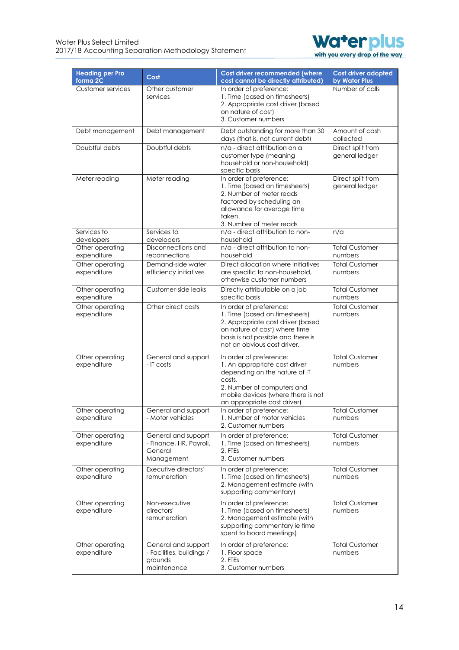

| <b>Heading per Pro</b><br>forma <sub>2C</sub> | Cost                                                                       | Cost driver recommended (where<br>cost cannot be directly attributed)                                                                                                                                  | Cost driver adopted<br>by Water Plus |
|-----------------------------------------------|----------------------------------------------------------------------------|--------------------------------------------------------------------------------------------------------------------------------------------------------------------------------------------------------|--------------------------------------|
| Customer services                             | Other customer<br>services                                                 | In order of preference:<br>1. Time (based on timesheets)<br>2. Appropriate cost driver (based<br>on nature of cost)<br>3. Customer numbers                                                             | Number of calls                      |
| Debt management                               | Debt management                                                            | Debt outstanding for more than 30<br>days (that is, not current debt)                                                                                                                                  | Amount of cash<br>collected          |
| Doubtful debts                                | Doubtful debts                                                             | n/a - direct attribution on a<br>customer type (meaning<br>household or non-household)<br>specific basis                                                                                               | Direct split from<br>general ledger  |
| Meter reading                                 | Meter reading                                                              | In order of preference:<br>1. Time (based on timesheets)<br>2. Number of meter reads<br>factored by scheduling an<br>allowance for average time<br>taken.<br>3. Number of meter reads                  | Direct split from<br>general ledger  |
| Services to<br>developers                     | Services to<br>developers                                                  | n/a - direct attribution to non-<br>household                                                                                                                                                          | n/a                                  |
| Other operating<br>expenditure                | Disconnections and<br>reconnections                                        | n/a - direct attribution to non-<br>household                                                                                                                                                          | <b>Total Customer</b><br>numbers     |
| Other operating<br>expenditure                | Demand-side water<br>efficiency initiatives                                | Direct allocation where initiatives<br>are specific to non-household,<br>otherwise customer numbers                                                                                                    | <b>Total Customer</b><br>numbers     |
| Other operating<br>expenditure                | Customer-side leaks                                                        | Directly attributable on a job<br>specific basis                                                                                                                                                       | <b>Total Customer</b><br>numbers     |
| Other operating<br>expenditure                | Other direct costs                                                         | In order of preference:<br>1. Time (based on timesheets)<br>2. Appropriate cost driver (based<br>on nature of cost) where time<br>basis is not possible and there is<br>not an obvious cost driver.    | <b>Total Customer</b><br>numbers     |
| Other operating<br>expenditure                | General and support<br>- IT costs                                          | In order of preference:<br>1. An appropriate cost driver<br>depending on the nature of IT<br>costs.<br>2. Number of computers and<br>mobile devices (where there is not<br>an appropriate cost driver) | <b>Total Customer</b><br>numbers     |
| Other operating<br>expenditure                | General and support<br>- Motor vehicles                                    | In order of preference:<br>1. Number of motor vehicles<br>2. Customer numbers                                                                                                                          | <b>Total Customer</b><br>numbers     |
| Other operating<br>expenditure                | General and supoprt<br>- Finance, HR, Payroll,<br>General<br>Management    | In order of preference:<br>1. Time (based on timesheets)<br>2. FTEs<br>3. Customer numbers                                                                                                             | <b>Total Customer</b><br>numbers     |
| Other operating<br>expenditure                | Executive directors'<br>remuneration                                       | In order of preference:<br>1. Time (based on timesheets)<br>2. Management estimate (with<br>supporting commentary)                                                                                     | <b>Total Customer</b><br>numbers     |
| Other operating<br>expenditure                | Non-executive<br>directors'<br>remuneration                                | In order of preference:<br>1. Time (based on timesheets)<br>2. Management estimate (with<br>supporting commentary ie time<br>spent to board meetings)                                                  | Total Customer<br>numbers            |
| Other operating<br>expenditure                | General and support<br>- Facilities, buildings /<br>grounds<br>maintenance | In order of preference:<br>1. Floor space<br>2. FTEs<br>3. Customer numbers                                                                                                                            | <b>Total Customer</b><br>numbers     |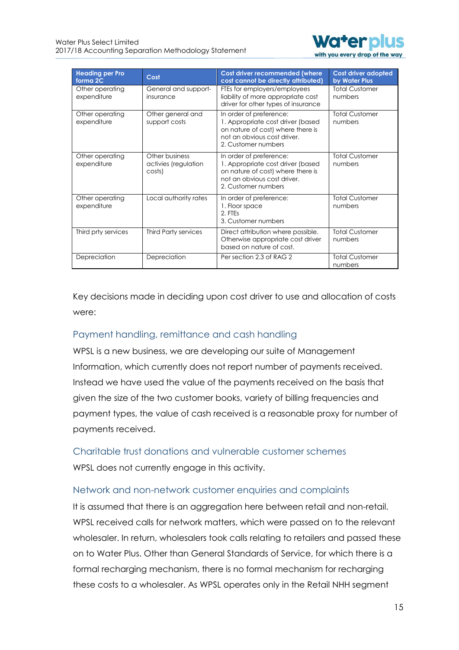

| <b>Heading per Pro</b><br>forma <sub>2C</sub> | Cost                                             | <b>Cost driver recommended (where</b><br>cost cannot be directly attributed)                                                                            | Cost driver adopted<br>by Water Plus |
|-----------------------------------------------|--------------------------------------------------|---------------------------------------------------------------------------------------------------------------------------------------------------------|--------------------------------------|
| Other operating<br>expenditure                | General and support-<br>insurance                | FTEs for employers/employees<br>liability of more appropriate cost<br>driver for other types of insurance                                               | <b>Total Customer</b><br>numbers     |
| Other operating<br>expenditure                | Other general and<br>support costs               | In order of preference:<br>1. Appropriate cost driver (based<br>on nature of cost) where there is<br>not an obvious cost driver.<br>2. Customer numbers | <b>Total Customer</b><br>numbers     |
| Other operating<br>expenditure                | Other business<br>activies (regulation<br>costs) | In order of preference:<br>1. Appropriate cost driver (based<br>on nature of cost) where there is<br>not an obvious cost driver.<br>2. Customer numbers | <b>Total Customer</b><br>numbers     |
| Other operating<br>expenditure                | Local authority rates                            | In order of preference:<br>1. Floor space<br>2. FTEs<br>3. Customer numbers                                                                             | <b>Total Customer</b><br>numbers     |
| Third prty services                           | Third Party services                             | Direct attribution where possible.<br>Otherwise appropriate cost driver<br>based on nature of cost.                                                     | <b>Total Customer</b><br>numbers     |
| Depreciation                                  | Depreciation                                     | Per section 2.3 of RAG 2                                                                                                                                | <b>Total Customer</b><br>numbers     |

Key decisions made in deciding upon cost driver to use and allocation of costs were:

### Payment handling, remittance and cash handling

WPSL is a new business, we are developing our suite of Management Information, which currently does not report number of payments received. Instead we have used the value of the payments received on the basis that given the size of the two customer books, variety of billing frequencies and payment types, the value of cash received is a reasonable proxy for number of payments received.

Charitable trust donations and vulnerable customer schemes WPSL does not currently engage in this activity.

#### Network and non-network customer enquiries and complaints

It is assumed that there is an aggregation here between retail and non-retail. WPSL received calls for network matters, which were passed on to the relevant wholesaler. In return, wholesalers took calls relating to retailers and passed these on to Water Plus. Other than General Standards of Service, for which there is a formal recharging mechanism, there is no formal mechanism for recharging these costs to a wholesaler. As WPSL operates only in the Retail NHH segment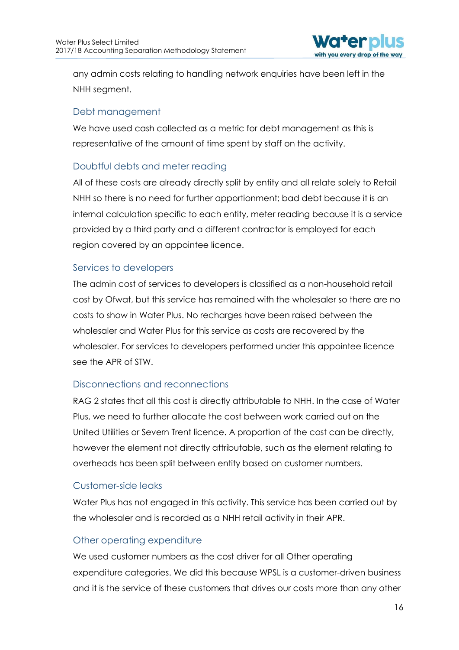

any admin costs relating to handling network enquiries have been left in the NHH segment.

#### Debt management

We have used cash collected as a metric for debt management as this is representative of the amount of time spent by staff on the activity.

### Doubtful debts and meter reading

All of these costs are already directly split by entity and all relate solely to Retail NHH so there is no need for further apportionment; bad debt because it is an internal calculation specific to each entity, meter reading because it is a service provided by a third party and a different contractor is employed for each region covered by an appointee licence.

#### Services to developers

The admin cost of services to developers is classified as a non-household retail cost by Ofwat, but this service has remained with the wholesaler so there are no costs to show in Water Plus. No recharges have been raised between the wholesaler and Water Plus for this service as costs are recovered by the wholesaler. For services to developers performed under this appointee licence see the APR of STW.

### Disconnections and reconnections

RAG 2 states that all this cost is directly attributable to NHH. In the case of Water Plus, we need to further allocate the cost between work carried out on the United Utilities or Severn Trent licence. A proportion of the cost can be directly, however the element not directly attributable, such as the element relating to overheads has been split between entity based on customer numbers.

### Customer-side leaks

Water Plus has not engaged in this activity. This service has been carried out by the wholesaler and is recorded as a NHH retail activity in their APR.

#### Other operating expenditure

We used customer numbers as the cost driver for all Other operating expenditure categories. We did this because WPSL is a customer-driven business and it is the service of these customers that drives our costs more than any other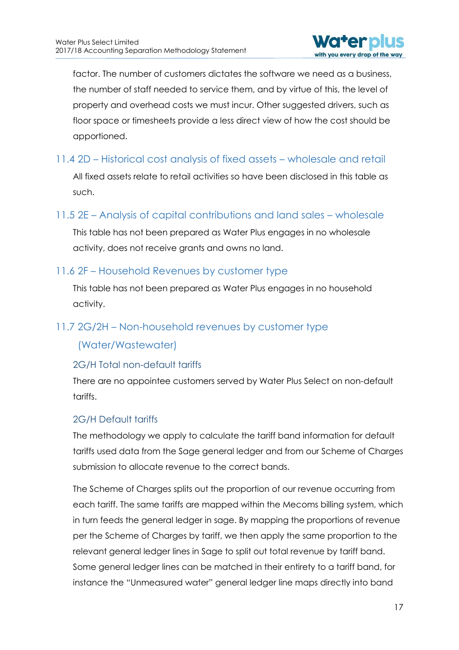

factor. The number of customers dictates the software we need as a business, the number of staff needed to service them, and by virtue of this, the level of property and overhead costs we must incur. Other suggested drivers, such as floor space or timesheets provide a less direct view of how the cost should be apportioned.

### <span id="page-17-0"></span>11.4 2D – Historical cost analysis of fixed assets – wholesale and retail

All fixed assets relate to retail activities so have been disclosed in this table as such.

### <span id="page-17-1"></span>11.5 2E – Analysis of capital contributions and land sales – wholesale

This table has not been prepared as Water Plus engages in no wholesale activity, does not receive grants and owns no land.

#### <span id="page-17-2"></span>11.6 2F – Household Revenues by customer type

This table has not been prepared as Water Plus engages in no household activity.

### <span id="page-17-3"></span>11.7 2G/2H – Non-household revenues by customer type

### (Water/Wastewater)

#### 2G/H Total non-default tariffs

There are no appointee customers served by Water Plus Select on non-default tariffs.

#### 2G/H Default tariffs

The methodology we apply to calculate the tariff band information for default tariffs used data from the Sage general ledger and from our Scheme of Charges submission to allocate revenue to the correct bands.

The Scheme of Charges splits out the proportion of our revenue occurring from each tariff. The same tariffs are mapped within the Mecoms billing system, which in turn feeds the general ledger in sage. By mapping the proportions of revenue per the Scheme of Charges by tariff, we then apply the same proportion to the relevant general ledger lines in Sage to split out total revenue by tariff band. Some general ledger lines can be matched in their entirety to a tariff band, for instance the "Unmeasured water" general ledger line maps directly into band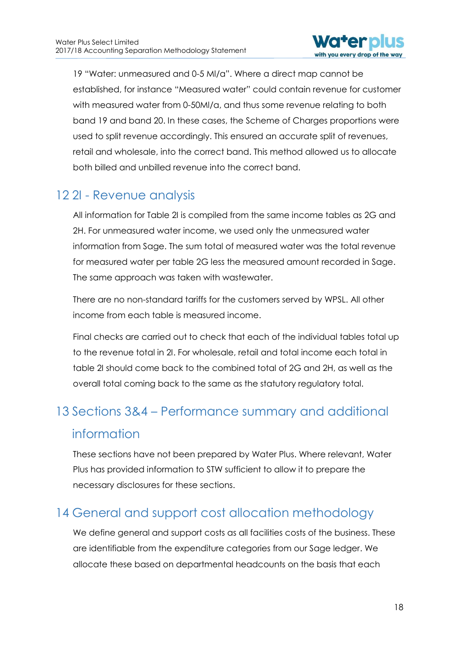

19 "Water: unmeasured and 0-5 Ml/a". Where a direct map cannot be established, for instance "Measured water" could contain revenue for customer with measured water from 0-50Ml/a, and thus some revenue relating to both band 19 and band 20. In these cases, the Scheme of Charges proportions were used to split revenue accordingly. This ensured an accurate split of revenues, retail and wholesale, into the correct band. This method allowed us to allocate both billed and unbilled revenue into the correct band.

## <span id="page-18-0"></span>12 2I - Revenue analysis

All information for Table 2I is compiled from the same income tables as 2G and 2H. For unmeasured water income, we used only the unmeasured water information from Sage. The sum total of measured water was the total revenue for measured water per table 2G less the measured amount recorded in Sage. The same approach was taken with wastewater.

There are no non-standard tariffs for the customers served by WPSL. All other income from each table is measured income.

Final checks are carried out to check that each of the individual tables total up to the revenue total in 2I. For wholesale, retail and total income each total in table 2I should come back to the combined total of 2G and 2H, as well as the overall total coming back to the same as the statutory regulatory total.

# <span id="page-18-1"></span>13 Sections 3&4 – Performance summary and additional information

These sections have not been prepared by Water Plus. Where relevant, Water Plus has provided information to STW sufficient to allow it to prepare the necessary disclosures for these sections.

## <span id="page-18-2"></span>14 General and support cost allocation methodology

We define general and support costs as all facilities costs of the business. These are identifiable from the expenditure categories from our Sage ledger. We allocate these based on departmental headcounts on the basis that each